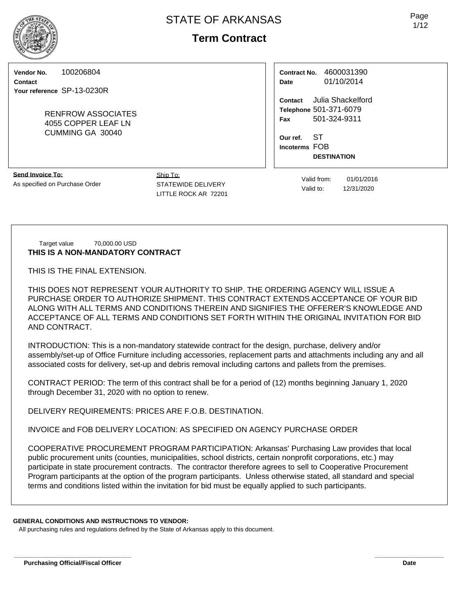# **Term Contract**

**Vendor No.** 100206804

**Contact Your reference** SP-13-0230R

> RENFROW ASSOCIATES 4055 COPPER LEAF LN CUMMING GA 30040

| Contract No. | 4600031390 |  |  |  |  |
|--------------|------------|--|--|--|--|
| Date         | 01/10/2014 |  |  |  |  |

**Contact** Julia Shackelford **Telephone** 501-371-6079 **Fax** 501-324-9311

**Our ref.** ST **Incoterms** FOB **DESTINATION**

**Send Invoice To:** As specified on Purchase Order

Ship To: STATEWIDE DELIVERY LITTLE ROCK AR 72201

Valid from: 01/01/2016 Valid to: 12/31/2020

#### Target value 70,000.00 USD **THIS IS A NON-MANDATORY CONTRACT**

THIS IS THE FINAL EXTENSION.

THIS DOES NOT REPRESENT YOUR AUTHORITY TO SHIP. THE ORDERING AGENCY WILL ISSUE A PURCHASE ORDER TO AUTHORIZE SHIPMENT. THIS CONTRACT EXTENDS ACCEPTANCE OF YOUR BID ALONG WITH ALL TERMS AND CONDITIONS THEREIN AND SIGNIFIES THE OFFERER'S KNOWLEDGE AND ACCEPTANCE OF ALL TERMS AND CONDITIONS SET FORTH WITHIN THE ORIGINAL INVITATION FOR BID AND CONTRACT.

INTRODUCTION: This is a non-mandatory statewide contract for the design, purchase, delivery and/or assembly/set-up of Office Furniture including accessories, replacement parts and attachments including any and all associated costs for delivery, set-up and debris removal including cartons and pallets from the premises.

CONTRACT PERIOD: The term of this contract shall be for a period of (12) months beginning January 1, 2020 through December 31, 2020 with no option to renew.

DELIVERY REQUIREMENTS: PRICES ARE F.O.B. DESTINATION.

INVOICE and FOB DELIVERY LOCATION: AS SPECIFIED ON AGENCY PURCHASE ORDER

COOPERATIVE PROCUREMENT PROGRAM PARTICIPATION: Arkansas' Purchasing Law provides that local public procurement units (counties, municipalities, school districts, certain nonprofit corporations, etc.) may participate in state procurement contracts. The contractor therefore agrees to sell to Cooperative Procurement Program participants at the option of the program participants. Unless otherwise stated, all standard and special terms and conditions listed within the invitation for bid must be equally applied to such participants.

**\_\_\_\_\_\_\_\_\_\_\_\_\_\_\_\_\_\_\_\_\_\_\_\_\_\_\_\_\_\_\_\_\_\_ \_\_\_\_\_\_\_\_\_\_\_\_\_\_\_\_\_\_\_\_**

#### **GENERAL CONDITIONS AND INSTRUCTIONS TO VENDOR:**

All purchasing rules and regulations defined by the State of Arkansas apply to this document.

Page 1/12

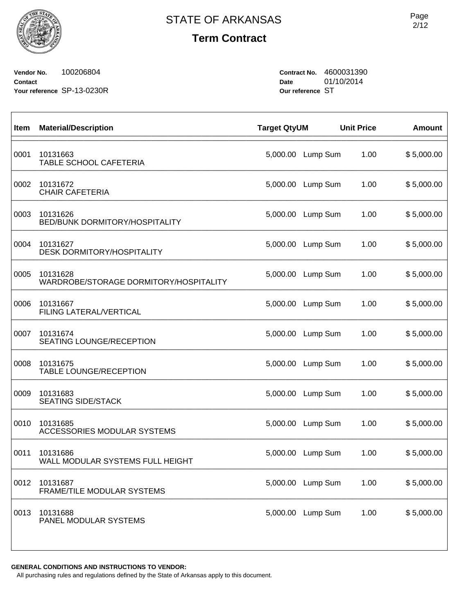**Term Contract**

**Vendor No.** 100206804 **Contact Your reference** SP-13-0230R **Contract No.** 4600031390 **Date** 01/10/2014 **Our reference** ST

| Item | <b>Material/Description</b>                        | <b>Target QtyUM</b> |                   | <b>Unit Price</b> | <b>Amount</b> |
|------|----------------------------------------------------|---------------------|-------------------|-------------------|---------------|
| 0001 | 10131663<br>TABLE SCHOOL CAFETERIA                 | 5,000.00            | Lump Sum          | 1.00              | \$5,000.00    |
| 0002 | 10131672<br><b>CHAIR CAFETERIA</b>                 | 5,000.00            | Lump Sum          | 1.00              | \$5,000.00    |
| 0003 | 10131626<br><b>BED/BUNK DORMITORY/HOSPITALITY</b>  | 5,000.00            | Lump Sum          | 1.00              | \$5,000.00    |
| 0004 | 10131627<br><b>DESK DORMITORY/HOSPITALITY</b>      | 5,000.00            | Lump Sum          | 1.00              | \$5,000.00    |
| 0005 | 10131628<br>WARDROBE/STORAGE DORMITORY/HOSPITALITY | 5,000.00            | Lump Sum          | 1.00              | \$5,000.00    |
| 0006 | 10131667<br>FILING LATERAL/VERTICAL                | 5,000.00            | Lump Sum          | 1.00              | \$5,000.00    |
| 0007 | 10131674<br>SEATING LOUNGE/RECEPTION               | 5,000.00            | Lump Sum          | 1.00              | \$5,000.00    |
| 0008 | 10131675<br>TABLE LOUNGE/RECEPTION                 | 5,000.00            | Lump Sum          | 1.00              | \$5,000.00    |
| 0009 | 10131683<br><b>SEATING SIDE/STACK</b>              | 5,000.00            | Lump Sum          | 1.00              | \$5,000.00    |
| 0010 | 10131685<br>ACCESSORIES MODULAR SYSTEMS            | 5,000.00            | Lump Sum          | 1.00              | \$5,000.00    |
| 0011 | 10131686<br>WALL MODULAR SYSTEMS FULL HEIGHT       | 5,000.00            | Lump Sum          | 1.00              | \$5,000.00    |
| 0012 | 10131687<br>FRAME/TILE MODULAR SYSTEMS             |                     | 5,000.00 Lump Sum | 1.00              | \$5,000.00    |
| 0013 | 10131688<br>PANEL MODULAR SYSTEMS                  | 5,000.00            | Lump Sum          | 1.00              | \$5,000.00    |
|      |                                                    |                     |                   |                   |               |

**GENERAL CONDITIONS AND INSTRUCTIONS TO VENDOR:**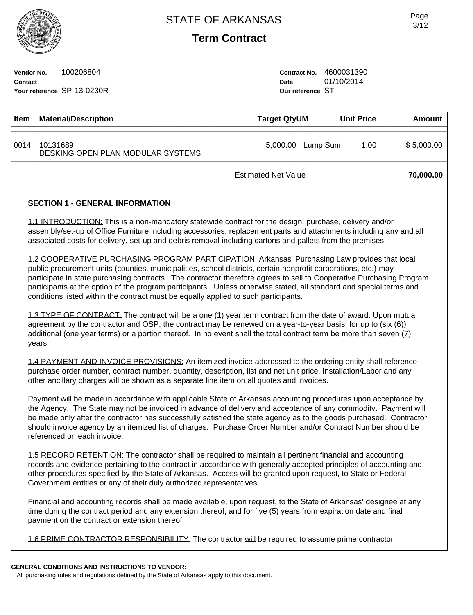**Term Contract**

**Vendor No.** 100206804 **Contact Your reference** SP-13-0230R **Contract No.** 4600031390 **Date** 01/10/2014 **Our reference** ST

| Item                                                                                                                                                                                                                                                                                                                                      | <b>Material/Description</b>                                                                                                                                                                                                                                                                                                                                                                                                                                                                                                                             | <b>Target QtyUM</b>        |                   | <b>Unit Price</b> | <b>Amount</b> |  |  |  |  |
|-------------------------------------------------------------------------------------------------------------------------------------------------------------------------------------------------------------------------------------------------------------------------------------------------------------------------------------------|---------------------------------------------------------------------------------------------------------------------------------------------------------------------------------------------------------------------------------------------------------------------------------------------------------------------------------------------------------------------------------------------------------------------------------------------------------------------------------------------------------------------------------------------------------|----------------------------|-------------------|-------------------|---------------|--|--|--|--|
| 0014                                                                                                                                                                                                                                                                                                                                      | 10131689<br>DESKING OPEN PLAN MODULAR SYSTEMS                                                                                                                                                                                                                                                                                                                                                                                                                                                                                                           |                            | 5,000.00 Lump Sum | 1.00              | \$5,000.00    |  |  |  |  |
|                                                                                                                                                                                                                                                                                                                                           |                                                                                                                                                                                                                                                                                                                                                                                                                                                                                                                                                         | <b>Estimated Net Value</b> |                   |                   | 70,000.00     |  |  |  |  |
|                                                                                                                                                                                                                                                                                                                                           | <b>SECTION 1 - GENERAL INFORMATION</b>                                                                                                                                                                                                                                                                                                                                                                                                                                                                                                                  |                            |                   |                   |               |  |  |  |  |
| 1.1 INTRODUCTION: This is a non-mandatory statewide contract for the design, purchase, delivery and/or<br>assembly/set-up of Office Furniture including accessories, replacement parts and attachments including any and all<br>associated costs for delivery, set-up and debris removal including cartons and pallets from the premises. |                                                                                                                                                                                                                                                                                                                                                                                                                                                                                                                                                         |                            |                   |                   |               |  |  |  |  |
|                                                                                                                                                                                                                                                                                                                                           | 1.2 COOPERATIVE PURCHASING PROGRAM PARTICIPATION: Arkansas' Purchasing Law provides that local<br>public procurement units (counties, municipalities, school districts, certain nonprofit corporations, etc.) may<br>participate in state purchasing contracts. The contractor therefore agrees to sell to Cooperative Purchasing Program<br>participants at the option of the program participants. Unless otherwise stated, all standard and special terms and<br>conditions listed within the contract must be equally applied to such participants. |                            |                   |                   |               |  |  |  |  |
|                                                                                                                                                                                                                                                                                                                                           | 1.3 TYPE OF CONTRACT: The contract will be a one (1) year term contract from the date of award. Upon mutual<br>agreement by the contractor and OSP, the contract may be renewed on a year-to-year basis, for up to (six (6))<br>additional (one year terms) or a portion thereof. In no event shall the total contract term be more than seven (7)<br>years.                                                                                                                                                                                            |                            |                   |                   |               |  |  |  |  |
|                                                                                                                                                                                                                                                                                                                                           | 1.4 PAYMENT AND INVOICE PROVISIONS: An itemized invoice addressed to the ordering entity shall reference<br>purchase order number, contract number, quantity, description, list and net unit price. Installation/Labor and any<br>other ancillary charges will be shown as a separate line item on all quotes and invoices.                                                                                                                                                                                                                             |                            |                   |                   |               |  |  |  |  |
|                                                                                                                                                                                                                                                                                                                                           | Payment will be made in accordance with applicable State of Arkansas accounting procedures upon acceptance by<br>the Agency. The State may not be invoiced in advance of delivery and acceptance of any commodity. Payment will<br>be made only after the contractor has successfully satisfied the state agency as to the goods purchased. Contractor<br>should invoice agency by an itemized list of charges. Purchase Order Number and/or Contract Number should be<br>referenced on each invoice.                                                   |                            |                   |                   |               |  |  |  |  |
|                                                                                                                                                                                                                                                                                                                                           | 1.5 RECORD RETENTION: The contractor shall be required to maintain all pertinent financial and accounting<br>records and evidence pertaining to the contract in accordance with generally accepted principles of accounting and<br>other procedures specified by the State of Arkansas. Access will be granted upon request, to State or Federal<br>Government entities or any of their duly authorized representatives.                                                                                                                                |                            |                   |                   |               |  |  |  |  |

Financial and accounting records shall be made available, upon request, to the State of Arkansas' designee at any time during the contract period and any extension thereof, and for five (5) years from expiration date and final payment on the contract or extension thereof.

1.6 PRIME CONTRACTOR RESPONSIBILITY: The contractor will be required to assume prime contractor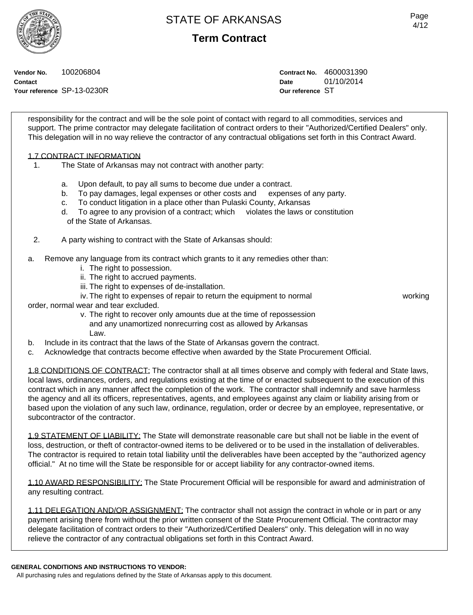**Term Contract**

Page 4/12

**Vendor No.** 100206804 **Contact Your reference** SP-13-0230R **Contract No.** 4600031390 **Date** 01/10/2014 **Our reference** ST

responsibility for the contract and will be the sole point of contact with regard to all commodities, services and support. The prime contractor may delegate facilitation of contract orders to their "Authorized/Certified Dealers" only. This delegation will in no way relieve the contractor of any contractual obligations set forth in this Contract Award.

### 1.7 CONTRACT INFORMATION

- 1. The State of Arkansas may not contract with another party:
	- a. Upon default, to pay all sums to become due under a contract.
	- b. To pay damages, legal expenses or other costs and expenses of any party.
	- c. To conduct litigation in a place other than Pulaski County, Arkansas
	- d. To agree to any provision of a contract; which violates the laws or constitution of the State of Arkansas.
- 2. A party wishing to contract with the State of Arkansas should:
- a. Remove any language from its contract which grants to it any remedies other than:
	- i. The right to possession.
	- ii. The right to accrued payments.
	- iii. The right to expenses of de-installation.
	- iv. The right to expenses of repair to return the equipment to normal working

- order, normal wear and tear excluded.
	- v. The right to recover only amounts due at the time of repossession and any unamortized nonrecurring cost as allowed by Arkansas Law.
- b. Include in its contract that the laws of the State of Arkansas govern the contract.
- c. Acknowledge that contracts become effective when awarded by the State Procurement Official.

1.8 CONDITIONS OF CONTRACT: The contractor shall at all times observe and comply with federal and State laws, local laws, ordinances, orders, and regulations existing at the time of or enacted subsequent to the execution of this contract which in any manner affect the completion of the work. The contractor shall indemnify and save harmless the agency and all its officers, representatives, agents, and employees against any claim or liability arising from or based upon the violation of any such law, ordinance, regulation, order or decree by an employee, representative, or subcontractor of the contractor.

1.9 STATEMENT OF LIABILITY: The State will demonstrate reasonable care but shall not be liable in the event of loss, destruction, or theft of contractor-owned items to be delivered or to be used in the installation of deliverables. The contractor is required to retain total liability until the deliverables have been accepted by the "authorized agency official." At no time will the State be responsible for or accept liability for any contractor-owned items.

1.10 AWARD RESPONSIBILITY: The State Procurement Official will be responsible for award and administration of any resulting contract.

1.11 DELEGATION AND/OR ASSIGNMENT: The contractor shall not assign the contract in whole or in part or any payment arising there from without the prior written consent of the State Procurement Official. The contractor may delegate facilitation of contract orders to their "Authorized/Certified Dealers" only. This delegation will in no way relieve the contractor of any contractual obligations set forth in this Contract Award.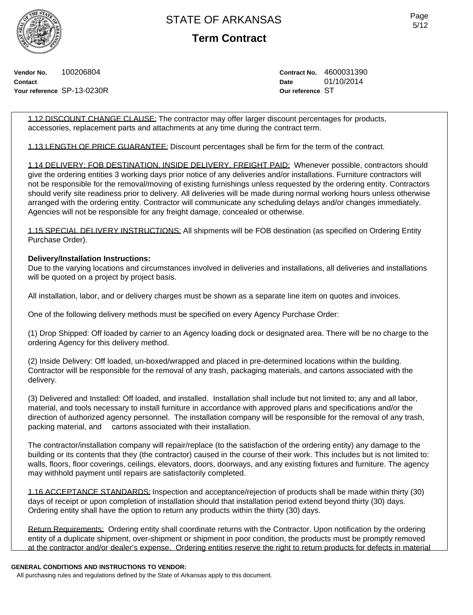

**Term Contract**

**Vendor No.** 100206804 **Contact Your reference** SP-13-0230R **Contract No.** 4600031390 **Date** 01/10/2014 **Our reference** ST

1.12 DISCOUNT CHANGE CLAUSE: The contractor may offer larger discount percentages for products, accessories, replacement parts and attachments at any time during the contract term.

1.13 LENGTH OF PRICE GUARANTEE: Discount percentages shall be firm for the term of the contract.

1.14 DELIVERY: FOB DESTINATION, INSIDE DELIVERY, FREIGHT PAID: Whenever possible, contractors should give the ordering entities 3 working days prior notice of any deliveries and/or installations. Furniture contractors will not be responsible for the removal/moving of existing furnishings unless requested by the ordering entity. Contractors should verify site readiness prior to delivery. All deliveries will be made during normal working hours unless otherwise arranged with the ordering entity. Contractor will communicate any scheduling delays and/or changes immediately. Agencies will not be responsible for any freight damage, concealed or otherwise.

1.15 SPECIAL DELIVERY INSTRUCTIONS: All shipments will be FOB destination (as specified on Ordering Entity Purchase Order).

#### **Delivery/Installation Instructions:**

Due to the varying locations and circumstances involved in deliveries and installations, all deliveries and installations will be quoted on a project by project basis.

All installation, labor, and or delivery charges must be shown as a separate line item on quotes and invoices.

One of the following delivery methods must be specified on every Agency Purchase Order:

(1) Drop Shipped: Off loaded by carrier to an Agency loading dock or designated area. There will be no charge to the ordering Agency for this delivery method.

(2) Inside Delivery: Off loaded, un-boxed/wrapped and placed in pre-determined locations within the building. Contractor will be responsible for the removal of any trash, packaging materials, and cartons associated with the delivery.

(3) Delivered and Installed: Off loaded, and installed. Installation shall include but not limited to; any and all labor, material, and tools necessary to install furniture in accordance with approved plans and specifications and/or the direction of authorized agency personnel. The installation company will be responsible for the removal of any trash, packing material, and cartons associated with their installation.

The contractor/installation company will repair/replace (to the satisfaction of the ordering entity) any damage to the building or its contents that they (the contractor) caused in the course of their work. This includes but is not limited to: walls, floors, floor coverings, ceilings, elevators, doors, doorways, and any existing fixtures and furniture. The agency may withhold payment until repairs are satisfactorily completed.

1.16 ACCEPTANCE STANDARDS: Inspection and acceptance/rejection of products shall be made within thirty (30) days of receipt or upon completion of installation should that installation period extend beyond thirty (30) days. Ordering entity shall have the option to return any products within the thirty (30) days.

Return Requirements: Ordering entity shall coordinate returns with the Contractor. Upon notification by the ordering entity of a duplicate shipment, over-shipment or shipment in poor condition, the products must be promptly removed at the contractor and/or dealer's expense. Ordering entities reserve the right to return products for defects in material

#### **GENERAL CONDITIONS AND INSTRUCTIONS TO VENDOR:**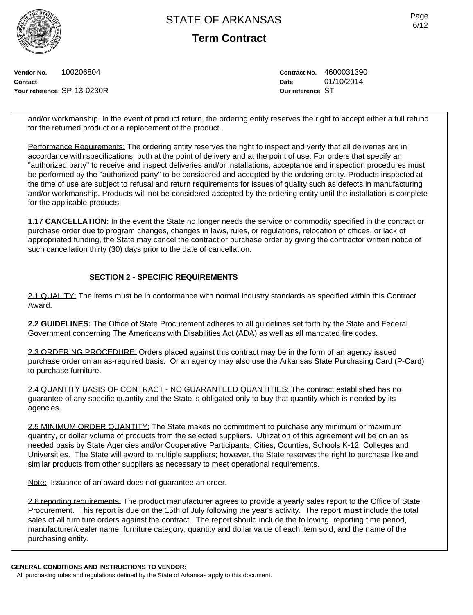**Term Contract**

**Vendor No.** 100206804 **Contact Your reference** SP-13-0230R **Contract No.** 4600031390 **Date** 01/10/2014 **Our reference** ST

and/or workmanship. In the event of product return, the ordering entity reserves the right to accept either a full refund for the returned product or a replacement of the product.

Performance Requirements: The ordering entity reserves the right to inspect and verify that all deliveries are in accordance with specifications, both at the point of delivery and at the point of use. For orders that specify an "authorized party" to receive and inspect deliveries and/or installations, acceptance and inspection procedures must be performed by the "authorized party" to be considered and accepted by the ordering entity. Products inspected at the time of use are subject to refusal and return requirements for issues of quality such as defects in manufacturing and/or workmanship. Products will not be considered accepted by the ordering entity until the installation is complete for the applicable products.

**1.17 CANCELLATION:** In the event the State no longer needs the service or commodity specified in the contract or purchase order due to program changes, changes in laws, rules, or regulations, relocation of offices, or lack of appropriated funding, the State may cancel the contract or purchase order by giving the contractor written notice of such cancellation thirty (30) days prior to the date of cancellation.

### **SECTION 2 - SPECIFIC REQUIREMENTS**

2.1 QUALITY: The items must be in conformance with normal industry standards as specified within this Contract Award.

**2.2 GUIDELINES:** The Office of State Procurement adheres to all guidelines set forth by the State and Federal Government concerning The Americans with Disabilities Act (ADA) as well as all mandated fire codes.

2.3 ORDERING PROCEDURE: Orders placed against this contract may be in the form of an agency issued purchase order on an as-required basis. Or an agency may also use the Arkansas State Purchasing Card (P-Card) to purchase furniture.

2.4 QUANTITY BASIS OF CONTRACT - NO GUARANTEED QUANTITIES: The contract established has no guarantee of any specific quantity and the State is obligated only to buy that quantity which is needed by its agencies.

2.5 MINIMUM ORDER QUANTITY: The State makes no commitment to purchase any minimum or maximum quantity, or dollar volume of products from the selected suppliers. Utilization of this agreement will be on an as needed basis by State Agencies and/or Cooperative Participants, Cities, Counties, Schools K-12, Colleges and Universities. The State will award to multiple suppliers; however, the State reserves the right to purchase like and similar products from other suppliers as necessary to meet operational requirements.

Note: Issuance of an award does not guarantee an order.

2.6 reporting requirements: The product manufacturer agrees to provide a yearly sales report to the Office of State Procurement. This report is due on the 15th of July following the year's activity. The report **must** include the total sales of all furniture orders against the contract. The report should include the following: reporting time period, manufacturer/dealer name, furniture category, quantity and dollar value of each item sold, and the name of the purchasing entity.

**GENERAL CONDITIONS AND INSTRUCTIONS TO VENDOR:**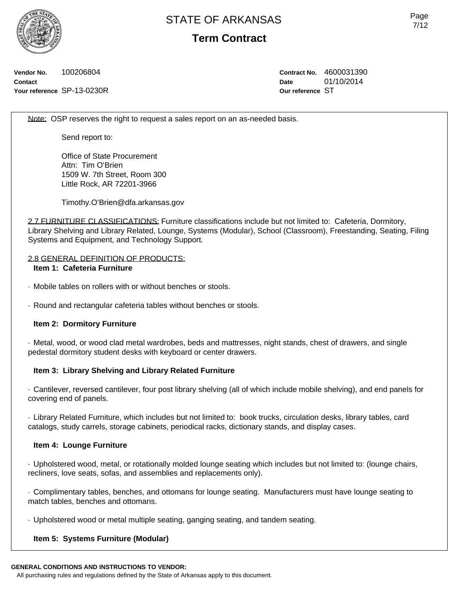**Term Contract**

**Vendor No.** 100206804 **Contact Your reference** SP-13-0230R **Contract No.** 4600031390 **Date** 01/10/2014 **Our reference** ST

Note: OSP reserves the right to request a sales report on an as-needed basis.

Send report to:

Office of State Procurement Attn: Tim O'Brien 1509 W. 7th Street, Room 300 Little Rock, AR 72201-3966

Timothy.O'Brien@dfa.arkansas.gov

2.7 FURNITURE CLASSIFICATIONS: Furniture classifications include but not limited to: Cafeteria, Dormitory, Library Shelving and Library Related, Lounge, Systems (Modular), School (Classroom), Freestanding, Seating, Filing Systems and Equipment, and Technology Support.

#### 2.8 GENERAL DEFINITION OF PRODUCTS:

### **Item 1: Cafeteria Furniture**

· Mobile tables on rollers with or without benches or stools.

· Round and rectangular cafeteria tables without benches or stools.

### **Item 2: Dormitory Furniture**

· Metal, wood, or wood clad metal wardrobes, beds and mattresses, night stands, chest of drawers, and single pedestal dormitory student desks with keyboard or center drawers.

### **Item 3: Library Shelving and Library Related Furniture**

· Cantilever, reversed cantilever, four post library shelving (all of which include mobile shelving), and end panels for covering end of panels.

· Library Related Furniture, which includes but not limited to: book trucks, circulation desks, library tables, card catalogs, study carrels, storage cabinets, periodical racks, dictionary stands, and display cases.

#### **Item 4: Lounge Furniture**

· Upholstered wood, metal, or rotationally molded lounge seating which includes but not limited to: (lounge chairs, recliners, love seats, sofas, and assemblies and replacements only).

· Complimentary tables, benches, and ottomans for lounge seating. Manufacturers must have lounge seating to match tables, benches and ottomans.

· Upholstered wood or metal multiple seating, ganging seating, and tandem seating.

### **Item 5: Systems Furniture (Modular)**

**GENERAL CONDITIONS AND INSTRUCTIONS TO VENDOR:**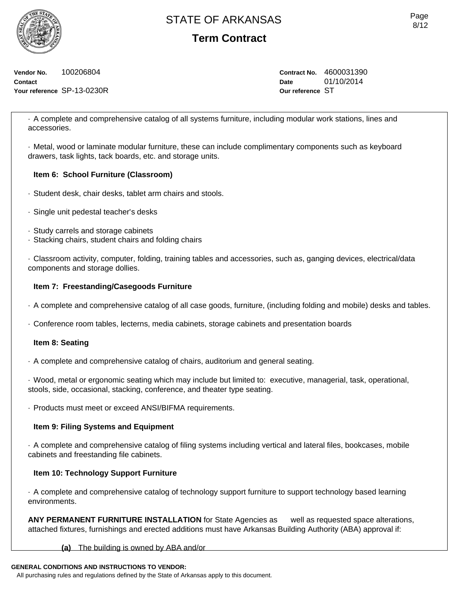**Term Contract**

**Vendor No.** 100206804 **Contact Your reference** SP-13-0230R **Contract No.** 4600031390 **Date** 01/10/2014 **Our reference** ST

· A complete and comprehensive catalog of all systems furniture, including modular work stations, lines and accessories.

· Metal, wood or laminate modular furniture, these can include complimentary components such as keyboard drawers, task lights, tack boards, etc. and storage units.

### **Item 6: School Furniture (Classroom)**

- · Student desk, chair desks, tablet arm chairs and stools.
- · Single unit pedestal teacher's desks
- · Study carrels and storage cabinets
- · Stacking chairs, student chairs and folding chairs

· Classroom activity, computer, folding, training tables and accessories, such as, ganging devices, electrical/data components and storage dollies.

### **Item 7: Freestanding/Casegoods Furniture**

- · A complete and comprehensive catalog of all case goods, furniture, (including folding and mobile) desks and tables.
- · Conference room tables, lecterns, media cabinets, storage cabinets and presentation boards

### **Item 8: Seating**

· A complete and comprehensive catalog of chairs, auditorium and general seating.

· Wood, metal or ergonomic seating which may include but limited to: executive, managerial, task, operational, stools, side, occasional, stacking, conference, and theater type seating.

· Products must meet or exceed ANSI/BIFMA requirements.

### **Item 9: Filing Systems and Equipment**

· A complete and comprehensive catalog of filing systems including vertical and lateral files, bookcases, mobile cabinets and freestanding file cabinets.

### **Item 10: Technology Support Furniture**

· A complete and comprehensive catalog of technology support furniture to support technology based learning environments.

**ANY PERMANENT FURNITURE INSTALLATION** for State Agencies as well as requested space alterations, attached fixtures, furnishings and erected additions must have Arkansas Building Authority (ABA) approval if:

### **(a)** The building is owned by ABA and/or

### **GENERAL CONDITIONS AND INSTRUCTIONS TO VENDOR:**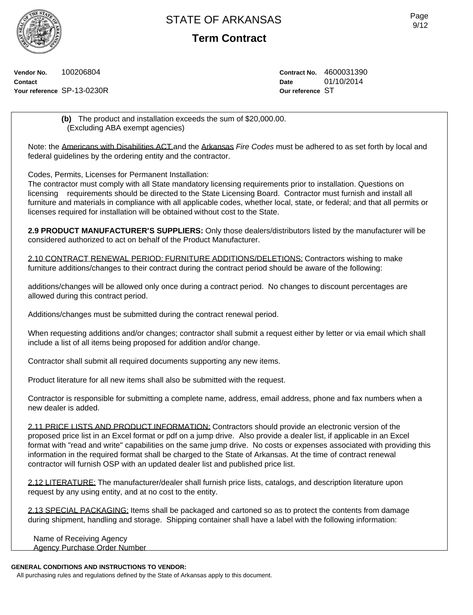**Term Contract**

**Vendor No.** 100206804 **Contact Your reference** SP-13-0230R **Contract No.** 4600031390 **Date** 01/10/2014 **Our reference** ST

**(b)** The product and installation exceeds the sum of \$20,000.00. (Excluding ABA exempt agencies)

Note: the Americans with Disabilities ACT and the Arkansas *Fire Codes* must be adhered to as set forth by local and federal guidelines by the ordering entity and the contractor.

Codes, Permits, Licenses for Permanent Installation:

The contractor must comply with all State mandatory licensing requirements prior to installation. Questions on licensing requirements should be directed to the State Licensing Board. Contractor must furnish and install all furniture and materials in compliance with all applicable codes, whether local, state, or federal; and that all permits or licenses required for installation will be obtained without cost to the State.

**2.9 PRODUCT MANUFACTURER'S SUPPLIERS:** Only those dealers/distributors listed by the manufacturer will be considered authorized to act on behalf of the Product Manufacturer.

2.10 CONTRACT RENEWAL PERIOD: FURNITURE ADDITIONS/DELETIONS: Contractors wishing to make furniture additions/changes to their contract during the contract period should be aware of the following:

additions/changes will be allowed only once during a contract period. No changes to discount percentages are allowed during this contract period.

Additions/changes must be submitted during the contract renewal period.

When requesting additions and/or changes; contractor shall submit a request either by letter or via email which shall include a list of all items being proposed for addition and/or change.

Contractor shall submit all required documents supporting any new items.

Product literature for all new items shall also be submitted with the request.

Contractor is responsible for submitting a complete name, address, email address, phone and fax numbers when a new dealer is added.

2.11 PRICE LISTS AND PRODUCT INFORMATION: Contractors should provide an electronic version of the proposed price list in an Excel format or pdf on a jump drive. Also provide a dealer list, if applicable in an Excel format with "read and write" capabilities on the same jump drive. No costs or expenses associated with providing this information in the required format shall be charged to the State of Arkansas. At the time of contract renewal contractor will furnish OSP with an updated dealer list and published price list.

2.12 LITERATURE: The manufacturer/dealer shall furnish price lists, catalogs, and description literature upon request by any using entity, and at no cost to the entity.

2.13 SPECIAL PACKAGING: Items shall be packaged and cartoned so as to protect the contents from damage during shipment, handling and storage. Shipping container shall have a label with the following information:

Name of Receiving Agency Agency Purchase Order Number

### **GENERAL CONDITIONS AND INSTRUCTIONS TO VENDOR:**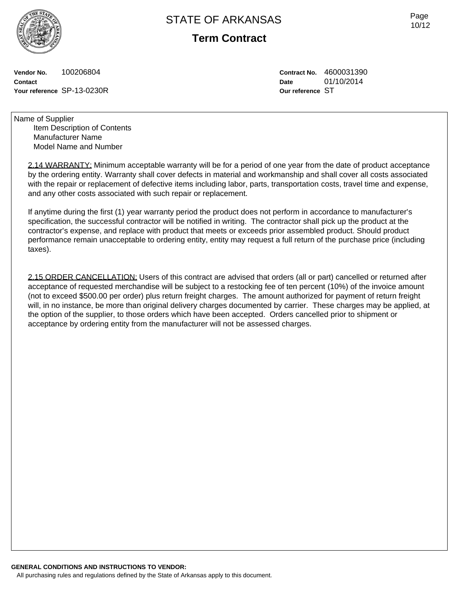**Term Contract**

**Vendor No.** 100206804 **Contact Your reference** SP-13-0230R **Contract No.** 4600031390 **Date** 01/10/2014 **Our reference** ST

Name of Supplier Item Description of Contents Manufacturer Name Model Name and Number

> 2.14 WARRANTY: Minimum acceptable warranty will be for a period of one year from the date of product acceptance by the ordering entity. Warranty shall cover defects in material and workmanship and shall cover all costs associated with the repair or replacement of defective items including labor, parts, transportation costs, travel time and expense, and any other costs associated with such repair or replacement.

If anytime during the first (1) year warranty period the product does not perform in accordance to manufacturer's specification, the successful contractor will be notified in writing. The contractor shall pick up the product at the contractor's expense, and replace with product that meets or exceeds prior assembled product. Should product performance remain unacceptable to ordering entity, entity may request a full return of the purchase price (including taxes).

2.15 ORDER CANCELLATION: Users of this contract are advised that orders (all or part) cancelled or returned after acceptance of requested merchandise will be subject to a restocking fee of ten percent (10%) of the invoice amount (not to exceed \$500.00 per order) plus return freight charges. The amount authorized for payment of return freight will, in no instance, be more than original delivery charges documented by carrier. These charges may be applied, at the option of the supplier, to those orders which have been accepted. Orders cancelled prior to shipment or acceptance by ordering entity from the manufacturer will not be assessed charges.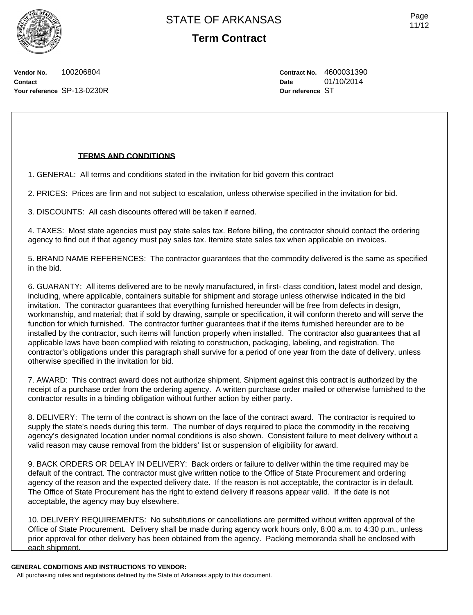**Term Contract**

Page 11/12

**Vendor No.** 100206804 **Contact Your reference** SP-13-0230R **Contract No.** 4600031390 **Date** 01/10/2014 **Our reference** ST

### **TERMS AND CONDITIONS**

1. GENERAL: All terms and conditions stated in the invitation for bid govern this contract

2. PRICES: Prices are firm and not subject to escalation, unless otherwise specified in the invitation for bid.

3. DISCOUNTS: All cash discounts offered will be taken if earned.

4. TAXES: Most state agencies must pay state sales tax. Before billing, the contractor should contact the ordering agency to find out if that agency must pay sales tax. Itemize state sales tax when applicable on invoices.

5. BRAND NAME REFERENCES: The contractor guarantees that the commodity delivered is the same as specified in the bid.

6. GUARANTY: All items delivered are to be newly manufactured, in first- class condition, latest model and design, including, where applicable, containers suitable for shipment and storage unless otherwise indicated in the bid invitation. The contractor guarantees that everything furnished hereunder will be free from defects in design, workmanship, and material; that if sold by drawing, sample or specification, it will conform thereto and will serve the function for which furnished. The contractor further guarantees that if the items furnished hereunder are to be installed by the contractor, such items will function properly when installed. The contractor also guarantees that all applicable laws have been complied with relating to construction, packaging, labeling, and registration. The contractor's obligations under this paragraph shall survive for a period of one year from the date of delivery, unless otherwise specified in the invitation for bid.

7. AWARD: This contract award does not authorize shipment. Shipment against this contract is authorized by the receipt of a purchase order from the ordering agency. A written purchase order mailed or otherwise furnished to the contractor results in a binding obligation without further action by either party.

8. DELIVERY: The term of the contract is shown on the face of the contract award. The contractor is required to supply the state's needs during this term. The number of days required to place the commodity in the receiving agency's designated location under normal conditions is also shown. Consistent failure to meet delivery without a valid reason may cause removal from the bidders' list or suspension of eligibility for award.

9. BACK ORDERS OR DELAY IN DELIVERY: Back orders or failure to deliver within the time required may be default of the contract. The contractor must give written notice to the Office of State Procurement and ordering agency of the reason and the expected delivery date. If the reason is not acceptable, the contractor is in default. The Office of State Procurement has the right to extend delivery if reasons appear valid. If the date is not acceptable, the agency may buy elsewhere.

10. DELIVERY REQUIREMENTS: No substitutions or cancellations are permitted without written approval of the Office of State Procurement. Delivery shall be made during agency work hours only, 8:00 a.m. to 4:30 p.m., unless prior approval for other delivery has been obtained from the agency. Packing memoranda shall be enclosed with each shipment.

#### **GENERAL CONDITIONS AND INSTRUCTIONS TO VENDOR:**